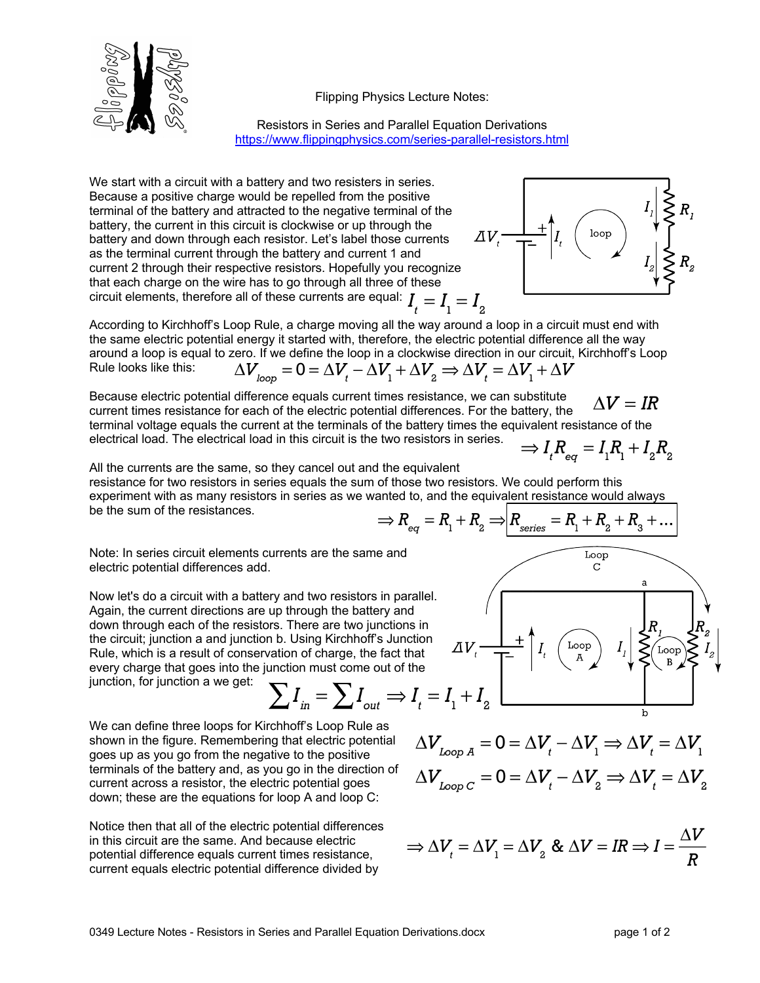



Resistors in Series and Parallel Equation Derivations https://www.flippingphysics.com/series-parallel-resistors.html

We start with a circuit with a battery and two resisters in series. Because a positive charge would be repelled from the positive terminal of the battery and attracted to the negative terminal of the battery, the current in this circuit is clockwise or up through the battery and down through each resistor. Let's label those currents as the terminal current through the battery and current 1 and current 2 through their respective resistors. Hopefully you recognize that each charge on the wire has to go through all three of these that each charge on the vire case of  $\frac{1}{2}$  and  $\frac{1}{2}$  circuit elements, therefore all of these currents are equal:  $I_{\mu} = I_{1} = I_{2}$ 



According to Kirchhoff's Loop Rule, a charge moving all the way around a loop in a circuit must end with the same electric potential energy it started with, therefore, the electric potential difference all the way around a loop is equal to zero. If we define the loop in a clockwise direction in our circuit, Kirchhoff's Loop<br>Rule looks like this:  $\Delta V_{loop} = 0 = \Delta V_t - \Delta V_1 + \Delta V_z \Rightarrow \Delta V_t = \Delta V_1 + \Delta V$ Rule looks like this:

Because electric potential difference equals current times resistance, we can substitute  $\Delta V = IR$ current times resistance for each of the electric potential differences. For the battery, the terminal voltage equals the current at the terminals of the battery times the equivalent resistance of the electrical load. The electrical load

$$
\Rightarrow I_{_t} R_{_{eq}} = I_{_1} R_{_1} + I_{_2} R_{_2}
$$

Loop

All the currents are the same, so they cancel out and the equivalent resistance for two resistors in series equals the sum of those two resistors. We could perform this experiment with as many resistors in series as we wanted to, and the equivalent resistance would always be the sum of the resistances.  $\Rightarrow R_{eq} = R_1 + R_2 \Rightarrow R_{series} = R_1 + R_2 + R_3 + ...$ 

Note: In series circuit elements currents are the same and electric potential differences add.

Now let's do a circuit with a battery and two resistors in parallel. Again, the current directions are up through the battery and down through each of the resistors. There are two junctions in the circuit; junction a and junction b. Using Kirchhoff's Junction Rule, which is a result of conservation of charge, the fact that every charge that goes into the junction must come out of the junction, for junction a we get:

$$
\sum I_{in} = \sum I_{out} \Rightarrow I_t = I_1 + I_2
$$

We can define three loops for Kirchhoff's Loop Rule as shown in the figure. Remembering that electric potential goes up as you go from the negative to the positive terminals of the battery and, as you go in the direction of current across a resistor, the electric potential goes down; these are the equations for loop A and loop C:

Notice then that all of the electric potential differences in this circuit are the same. And because electric potential difference equals current times resistance, current equals electric potential difference divided by

$$
\Delta V_{\text{loop A}} = 0 = \Delta V_t - \Delta V_1 \Rightarrow \Delta V_t = \Delta V_1
$$

$$
\Delta V_{\text{loop C}} = 0 = \Delta V_t - \Delta V_2 \Rightarrow \Delta V_t = \Delta V_2
$$

Loop

$$
\Rightarrow \Delta V_t = \Delta V_1 = \Delta V_2 \& \Delta V = IR \Rightarrow I = \frac{\Delta V}{R}
$$

\n The equation is a constant of the electric potential differences. For the battery, the distance of the electric potential differences. For the battery, the distance of the battery times the equivalent region, the force is given by:\n 
$$
I_t R_t
$$
\n

\n\n The equation is given by:\n 
$$
I_t R_t
$$
\n

 $\mathbf b$